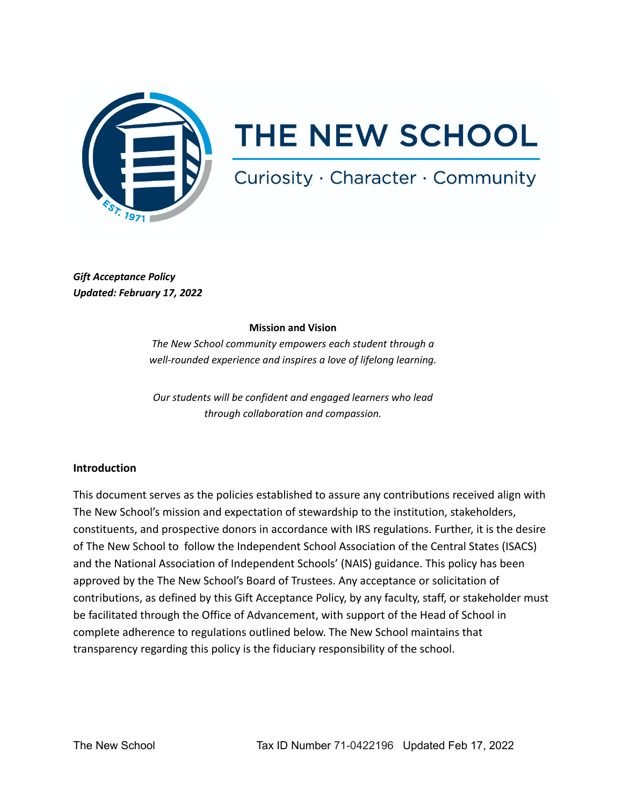

# **THE NEW SCHOOL**

# Curiosity · Character · Community

*Gift Acceptance Policy Updated: February 17, 2022*

#### **Mission and Vision**

*The New School community empowers each student through a well-rounded experience and inspires a love of lifelong learning.*

*Our students will be confident and engaged learners who lead through collaboration and compassion.*

# **Introduction**

This document serves as the policies established to assure any contributions received align with The New School's mission and expectation of stewardship to the institution, stakeholders, constituents, and prospective donors in accordance with IRS regulations. Further, it is the desire of The New School to follow the Independent School Association of the Central States (ISACS) and the National Association of Independent Schools' (NAIS) guidance. This policy has been approved by the The New School's Board of Trustees. Any acceptance or solicitation of contributions, as defined by this Gift Acceptance Policy, by any faculty, staff, or stakeholder must be facilitated through the Office of Advancement, with support of the Head of School in complete adherence to regulations outlined below. The New School maintains that transparency regarding this policy is the fiduciary responsibility of the school.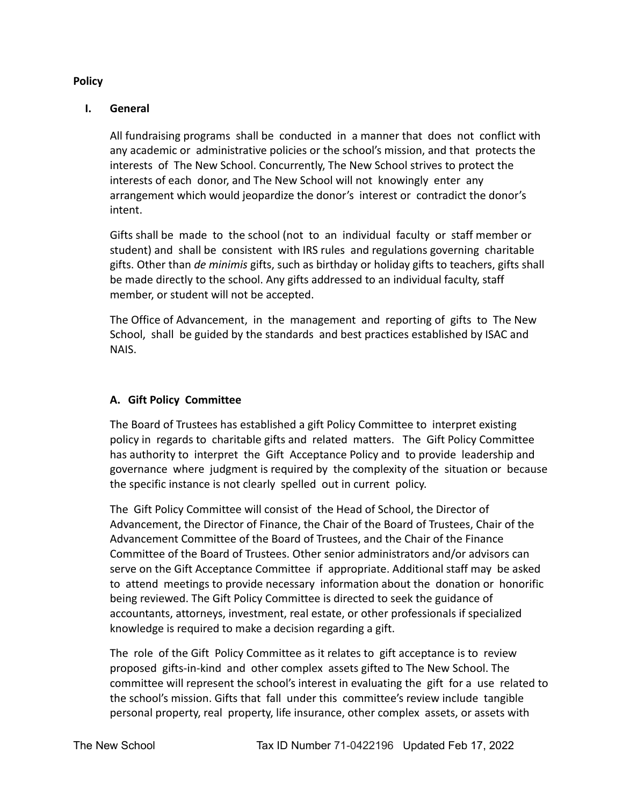#### **Policy**

## **I. General**

All fundraising programs shall be conducted in a manner that does not conflict with any academic or administrative policies or the school's mission, and that protects the interests of The New School. Concurrently, The New School strives to protect the interests of each donor, and The New School will not knowingly enter any arrangement which would jeopardize the donor's interest or contradict the donor's intent.

Gifts shall be made to the school (not to an individual faculty or staff member or student) and shall be consistent with IRS rules and regulations governing charitable gifts. Other than *de minimis* gifts, such as birthday or holiday gifts to teachers, gifts shall be made directly to the school. Any gifts addressed to an individual faculty, staff member, or student will not be accepted.

The Office of Advancement, in the management and reporting of gifts to The New School, shall be guided by the standards and best practices established by ISAC and NAIS.

#### **A. Gift Policy Committee**

The Board of Trustees has established a gift Policy Committee to interpret existing policy in regards to charitable gifts and related matters. The Gift Policy Committee has authority to interpret the Gift Acceptance Policy and to provide leadership and governance where judgment is required by the complexity of the situation or because the specific instance is not clearly spelled out in current policy.

The Gift Policy Committee will consist of the Head of School, the Director of Advancement, the Director of Finance, the Chair of the Board of Trustees, Chair of the Advancement Committee of the Board of Trustees, and the Chair of the Finance Committee of the Board of Trustees. Other senior administrators and/or advisors can serve on the Gift Acceptance Committee if appropriate. Additional staff may be asked to attend meetings to provide necessary information about the donation or honorific being reviewed. The Gift Policy Committee is directed to seek the guidance of accountants, attorneys, investment, real estate, or other professionals if specialized knowledge is required to make a decision regarding a gift.

The role of the Gift Policy Committee as it relates to gift acceptance is to review proposed gifts-in-kind and other complex assets gifted to The New School. The committee will represent the school's interest in evaluating the gift for a use related to the school's mission. Gifts that fall under this committee's review include tangible personal property, real property, life insurance, other complex assets, or assets with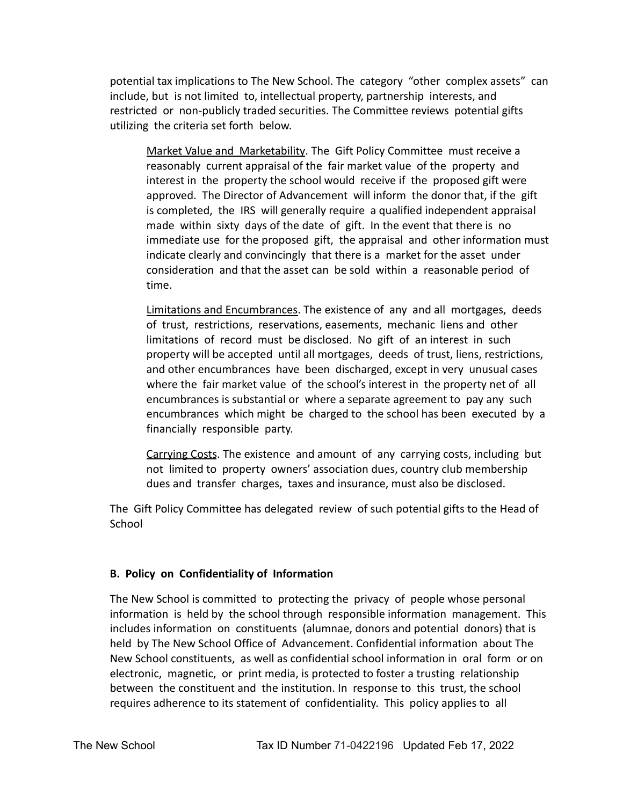potential tax implications to The New School. The category "other complex assets" can include, but is not limited to, intellectual property, partnership interests, and restricted or non-publicly traded securities. The Committee reviews potential gifts utilizing the criteria set forth below.

Market Value and Marketability. The Gift Policy Committee must receive a reasonably current appraisal of the fair market value of the property and interest in the property the school would receive if the proposed gift were approved. The Director of Advancement will inform the donor that, if the gift is completed, the IRS will generally require a qualified independent appraisal made within sixty days of the date of gift. In the event that there is no immediate use for the proposed gift, the appraisal and other information must indicate clearly and convincingly that there is a market for the asset under consideration and that the asset can be sold within a reasonable period of time.

Limitations and Encumbrances. The existence of any and all mortgages, deeds of trust, restrictions, reservations, easements, mechanic liens and other limitations of record must be disclosed. No gift of an interest in such property will be accepted until all mortgages, deeds of trust, liens, restrictions, and other encumbrances have been discharged, except in very unusual cases where the fair market value of the school's interest in the property net of all encumbrances is substantial or where a separate agreement to pay any such encumbrances which might be charged to the school has been executed by a financially responsible party.

Carrying Costs. The existence and amount of any carrying costs, including but not limited to property owners' association dues, country club membership dues and transfer charges, taxes and insurance, must also be disclosed.

The Gift Policy Committee has delegated review of such potential gifts to the Head of **School** 

# **B. Policy on Confidentiality of Information**

The New School is committed to protecting the privacy of people whose personal information is held by the school through responsible information management. This includes information on constituents (alumnae, donors and potential donors) that is held by The New School Office of Advancement. Confidential information about The New School constituents, as well as confidential school information in oral form or on electronic, magnetic, or print media, is protected to foster a trusting relationship between the constituent and the institution. In response to this trust, the school requires adherence to its statement of confidentiality. This policy applies to all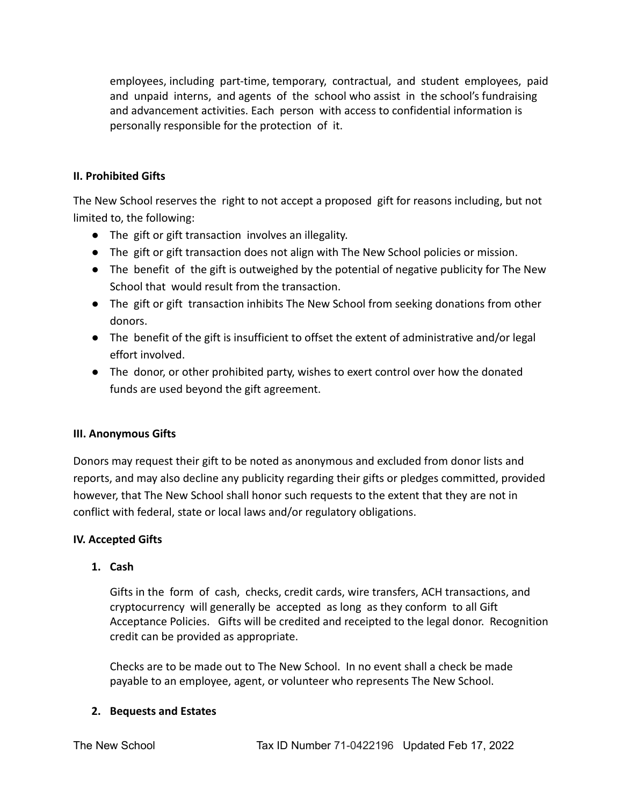employees, including part-time, temporary, contractual, and student employees, paid and unpaid interns, and agents of the school who assist in the school's fundraising and advancement activities. Each person with access to confidential information is personally responsible for the protection of it.

## **II. Prohibited Gifts**

The New School reserves the right to not accept a proposed gift for reasons including, but not limited to, the following:

- The gift or gift transaction involves an illegality.
- The gift or gift transaction does not align with The New School policies or mission.
- The benefit of the gift is outweighed by the potential of negative publicity for The New School that would result from the transaction.
- The gift or gift transaction inhibits The New School from seeking donations from other donors.
- The benefit of the gift is insufficient to offset the extent of administrative and/or legal effort involved.
- The donor, or other prohibited party, wishes to exert control over how the donated funds are used beyond the gift agreement.

#### **III. Anonymous Gifts**

Donors may request their gift to be noted as anonymous and excluded from donor lists and reports, and may also decline any publicity regarding their gifts or pledges committed, provided however, that The New School shall honor such requests to the extent that they are not in conflict with federal, state or local laws and/or regulatory obligations.

#### **IV. Accepted Gifts**

#### **1. Cash**

Gifts in the form of cash, checks, credit cards, wire transfers, ACH transactions, and cryptocurrency will generally be accepted as long as they conform to all Gift Acceptance Policies. Gifts will be credited and receipted to the legal donor. Recognition credit can be provided as appropriate.

Checks are to be made out to The New School. In no event shall a check be made payable to an employee, agent, or volunteer who represents The New School.

#### **2. Bequests and Estates**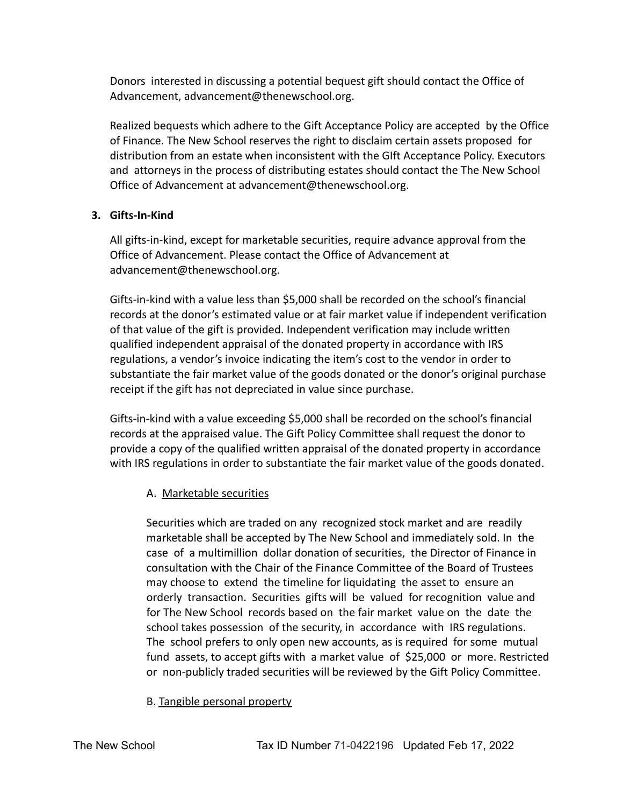Donors interested in discussing a potential bequest gift should contact the Office of Advancement, advancement@thenewschool.org.

Realized bequests which adhere to the Gift Acceptance Policy are accepted by the Office of Finance. The New School reserves the right to disclaim certain assets proposed for distribution from an estate when inconsistent with the GIft Acceptance Policy. Executors and attorneys in the process of distributing estates should contact the The New School Office of Advancement at advancement@thenewschool.org.

# **3. Gifts-In-Kind**

All gifts-in-kind, except for marketable securities, require advance approval from the Office of Advancement. Please contact the Office of Advancement at advancement@thenewschool.org.

Gifts-in-kind with a value less than \$5,000 shall be recorded on the school's financial records at the donor's estimated value or at fair market value if independent verification of that value of the gift is provided. Independent verification may include written qualified independent appraisal of the donated property in accordance with IRS regulations, a vendor's invoice indicating the item's cost to the vendor in order to substantiate the fair market value of the goods donated or the donor's original purchase receipt if the gift has not depreciated in value since purchase.

Gifts-in-kind with a value exceeding \$5,000 shall be recorded on the school's financial records at the appraised value. The Gift Policy Committee shall request the donor to provide a copy of the qualified written appraisal of the donated property in accordance with IRS regulations in order to substantiate the fair market value of the goods donated.

# A. Marketable securities

Securities which are traded on any recognized stock market and are readily marketable shall be accepted by The New School and immediately sold. In the case of a multimillion dollar donation of securities, the Director of Finance in consultation with the Chair of the Finance Committee of the Board of Trustees may choose to extend the timeline for liquidating the asset to ensure an orderly transaction. Securities gifts will be valued for recognition value and for The New School records based on the fair market value on the date the school takes possession of the security, in accordance with IRS regulations. The school prefers to only open new accounts, as is required for some mutual fund assets, to accept gifts with a market value of \$25,000 or more. Restricted or non-publicly traded securities will be reviewed by the Gift Policy Committee.

B. Tangible personal property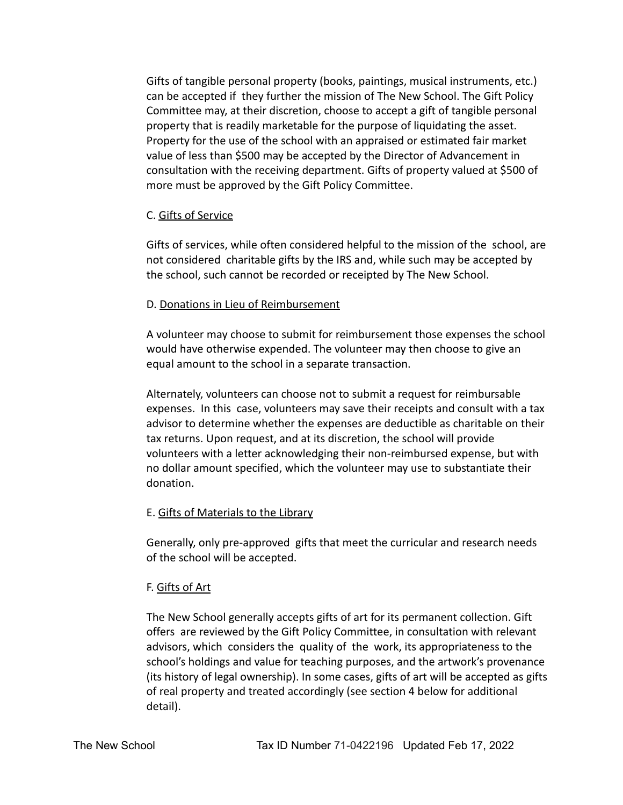Gifts of tangible personal property (books, paintings, musical instruments, etc.) can be accepted if they further the mission of The New School. The Gift Policy Committee may, at their discretion, choose to accept a gift of tangible personal property that is readily marketable for the purpose of liquidating the asset. Property for the use of the school with an appraised or estimated fair market value of less than \$500 may be accepted by the Director of Advancement in consultation with the receiving department. Gifts of property valued at \$500 of more must be approved by the Gift Policy Committee.

#### C. Gifts of Service

Gifts of services, while often considered helpful to the mission of the school, are not considered charitable gifts by the IRS and, while such may be accepted by the school, such cannot be recorded or receipted by The New School.

#### D. Donations in Lieu of Reimbursement

A volunteer may choose to submit for reimbursement those expenses the school would have otherwise expended. The volunteer may then choose to give an equal amount to the school in a separate transaction.

Alternately, volunteers can choose not to submit a request for reimbursable expenses. In this case, volunteers may save their receipts and consult with a tax advisor to determine whether the expenses are deductible as charitable on their tax returns. Upon request, and at its discretion, the school will provide volunteers with a letter acknowledging their non-reimbursed expense, but with no dollar amount specified, which the volunteer may use to substantiate their donation.

#### E. Gifts of Materials to the Library

Generally, only pre-approved gifts that meet the curricular and research needs of the school will be accepted.

#### F. Gifts of Art

The New School generally accepts gifts of art for its permanent collection. Gift offers are reviewed by the Gift Policy Committee, in consultation with relevant advisors, which considers the quality of the work, its appropriateness to the school's holdings and value for teaching purposes, and the artwork's provenance (its history of legal ownership). In some cases, gifts of art will be accepted as gifts of real property and treated accordingly (see section 4 below for additional detail).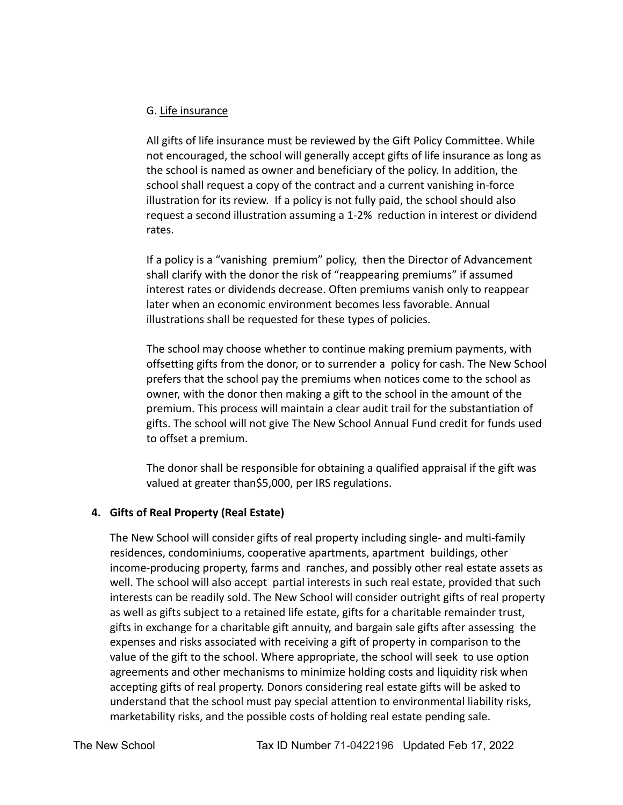#### G. Life insurance

All gifts of life insurance must be reviewed by the Gift Policy Committee. While not encouraged, the school will generally accept gifts of life insurance as long as the school is named as owner and beneficiary of the policy. In addition, the school shall request a copy of the contract and a current vanishing in-force illustration for its review. If a policy is not fully paid, the school should also request a second illustration assuming a 1-2% reduction in interest or dividend rates.

If a policy is a "vanishing premium" policy, then the Director of Advancement shall clarify with the donor the risk of "reappearing premiums" if assumed interest rates or dividends decrease. Often premiums vanish only to reappear later when an economic environment becomes less favorable. Annual illustrations shall be requested for these types of policies.

The school may choose whether to continue making premium payments, with offsetting gifts from the donor, or to surrender a policy for cash. The New School prefers that the school pay the premiums when notices come to the school as owner, with the donor then making a gift to the school in the amount of the premium. This process will maintain a clear audit trail for the substantiation of gifts. The school will not give The New School Annual Fund credit for funds used to offset a premium.

The donor shall be responsible for obtaining a qualified appraisal if the gift was valued at greater than\$5,000, per IRS regulations.

# **4. Gifts of Real Property (Real Estate)**

The New School will consider gifts of real property including single- and multi-family residences, condominiums, cooperative apartments, apartment buildings, other income-producing property, farms and ranches, and possibly other real estate assets as well. The school will also accept partial interests in such real estate, provided that such interests can be readily sold. The New School will consider outright gifts of real property as well as gifts subject to a retained life estate, gifts for a charitable remainder trust, gifts in exchange for a charitable gift annuity, and bargain sale gifts after assessing the expenses and risks associated with receiving a gift of property in comparison to the value of the gift to the school. Where appropriate, the school will seek to use option agreements and other mechanisms to minimize holding costs and liquidity risk when accepting gifts of real property. Donors considering real estate gifts will be asked to understand that the school must pay special attention to environmental liability risks, marketability risks, and the possible costs of holding real estate pending sale.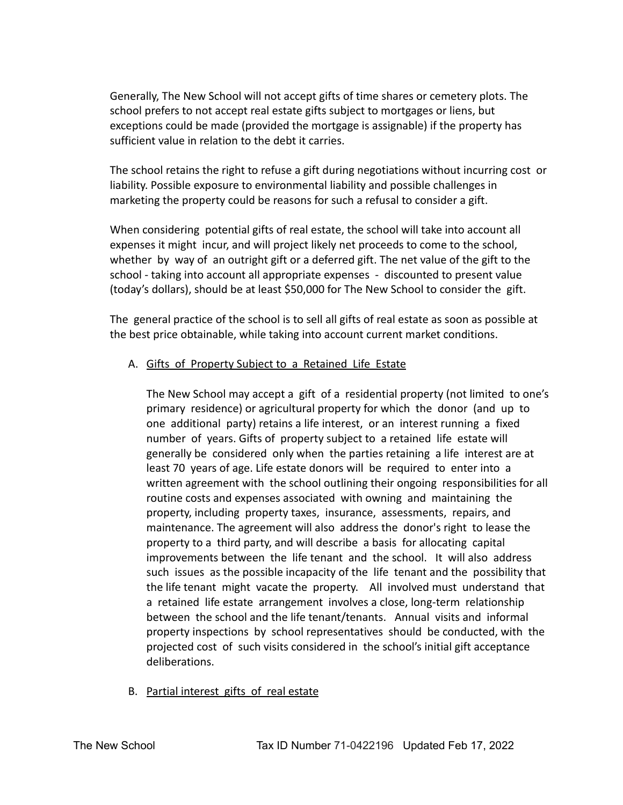Generally, The New School will not accept gifts of time shares or cemetery plots. The school prefers to not accept real estate gifts subject to mortgages or liens, but exceptions could be made (provided the mortgage is assignable) if the property has sufficient value in relation to the debt it carries.

The school retains the right to refuse a gift during negotiations without incurring cost or liability. Possible exposure to environmental liability and possible challenges in marketing the property could be reasons for such a refusal to consider a gift.

When considering potential gifts of real estate, the school will take into account all expenses it might incur, and will project likely net proceeds to come to the school, whether by way of an outright gift or a deferred gift. The net value of the gift to the school - taking into account all appropriate expenses - discounted to present value (today's dollars), should be at least \$50,000 for The New School to consider the gift.

The general practice of the school is to sell all gifts of real estate as soon as possible at the best price obtainable, while taking into account current market conditions.

# A. Gifts of Property Subject to a Retained Life Estate

The New School may accept a gift of a residential property (not limited to one's primary residence) or agricultural property for which the donor (and up to one additional party) retains a life interest, or an interest running a fixed number of years. Gifts of property subject to a retained life estate will generally be considered only when the parties retaining a life interest are at least 70 years of age. Life estate donors will be required to enter into a written agreement with the school outlining their ongoing responsibilities for all routine costs and expenses associated with owning and maintaining the property, including property taxes, insurance, assessments, repairs, and maintenance. The agreement will also address the donor's right to lease the property to a third party, and will describe a basis for allocating capital improvements between the life tenant and the school. It will also address such issues as the possible incapacity of the life tenant and the possibility that the life tenant might vacate the property. All involved must understand that a retained life estate arrangement involves a close, long-term relationship between the school and the life tenant/tenants. Annual visits and informal property inspections by school representatives should be conducted, with the projected cost of such visits considered in the school's initial gift acceptance deliberations.

B. Partial interest gifts of real estate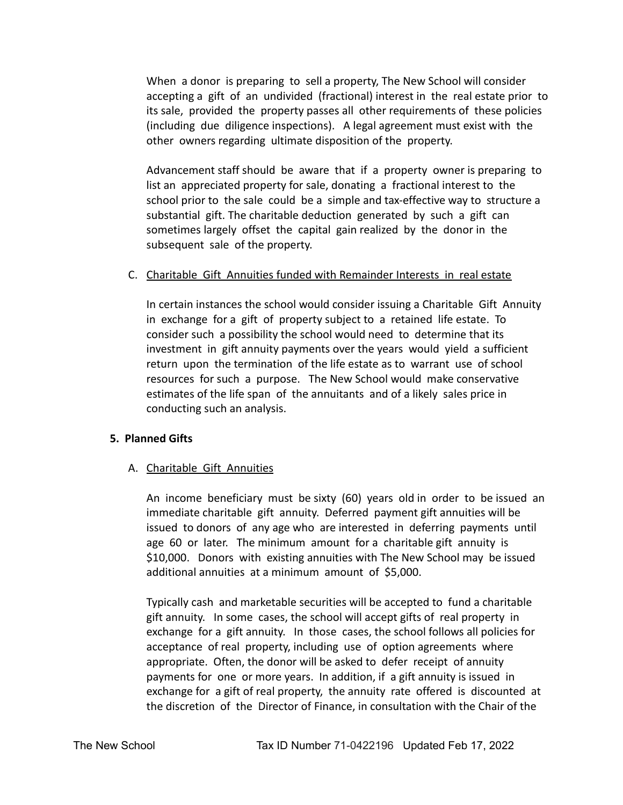When a donor is preparing to sell a property, The New School will consider accepting a gift of an undivided (fractional) interest in the real estate prior to its sale, provided the property passes all other requirements of these policies (including due diligence inspections). A legal agreement must exist with the other owners regarding ultimate disposition of the property.

Advancement staff should be aware that if a property owner is preparing to list an appreciated property for sale, donating a fractional interest to the school prior to the sale could be a simple and tax-effective way to structure a substantial gift. The charitable deduction generated by such a gift can sometimes largely offset the capital gain realized by the donor in the subsequent sale of the property.

#### C. Charitable Gift Annuities funded with Remainder Interests in real estate

In certain instances the school would consider issuing a Charitable Gift Annuity in exchange for a gift of property subject to a retained life estate. To consider such a possibility the school would need to determine that its investment in gift annuity payments over the years would yield a sufficient return upon the termination of the life estate as to warrant use of school resources for such a purpose. The New School would make conservative estimates of the life span of the annuitants and of a likely sales price in conducting such an analysis.

# **5. Planned Gifts**

# A. Charitable Gift Annuities

An income beneficiary must be sixty (60) years old in order to be issued an immediate charitable gift annuity. Deferred payment gift annuities will be issued to donors of any age who are interested in deferring payments until age 60 or later. The minimum amount for a charitable gift annuity is \$10,000. Donors with existing annuities with The New School may be issued additional annuities at a minimum amount of \$5,000.

Typically cash and marketable securities will be accepted to fund a charitable gift annuity. In some cases, the school will accept gifts of real property in exchange for a gift annuity. In those cases, the school follows all policies for acceptance of real property, including use of option agreements where appropriate. Often, the donor will be asked to defer receipt of annuity payments for one or more years. In addition, if a gift annuity is issued in exchange for a gift of real property, the annuity rate offered is discounted at the discretion of the Director of Finance, in consultation with the Chair of the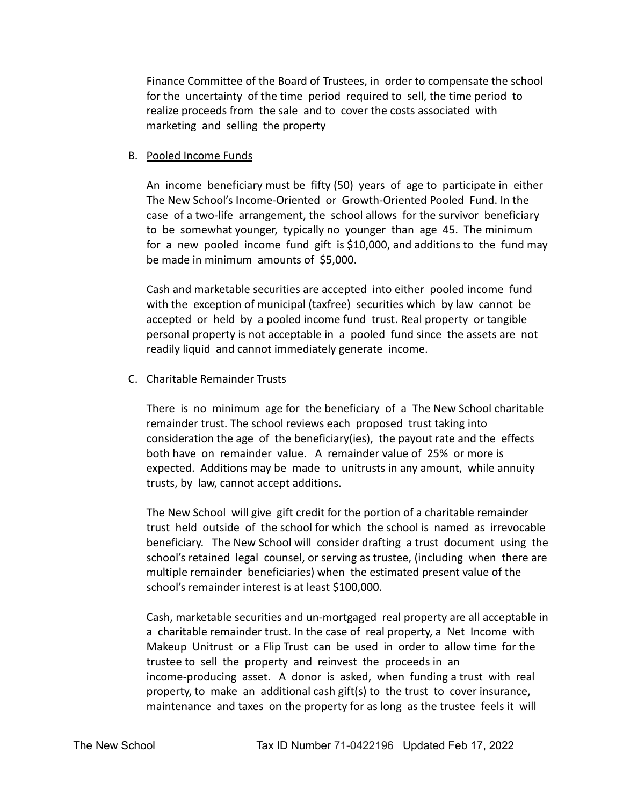Finance Committee of the Board of Trustees, in order to compensate the school for the uncertainty of the time period required to sell, the time period to realize proceeds from the sale and to cover the costs associated with marketing and selling the property

#### B. Pooled Income Funds

An income beneficiary must be fifty (50) years of age to participate in either The New School's Income-Oriented or Growth-Oriented Pooled Fund. In the case of a two-life arrangement, the school allows for the survivor beneficiary to be somewhat younger, typically no younger than age 45. The minimum for a new pooled income fund gift is \$10,000, and additions to the fund may be made in minimum amounts of \$5,000.

Cash and marketable securities are accepted into either pooled income fund with the exception of municipal (taxfree) securities which by law cannot be accepted or held by a pooled income fund trust. Real property or tangible personal property is not acceptable in a pooled fund since the assets are not readily liquid and cannot immediately generate income.

C. Charitable Remainder Trusts

There is no minimum age for the beneficiary of a The New School charitable remainder trust. The school reviews each proposed trust taking into consideration the age of the beneficiary(ies), the payout rate and the effects both have on remainder value. A remainder value of 25% or more is expected. Additions may be made to unitrusts in any amount, while annuity trusts, by law, cannot accept additions.

The New School will give gift credit for the portion of a charitable remainder trust held outside of the school for which the school is named as irrevocable beneficiary. The New School will consider drafting a trust document using the school's retained legal counsel, or serving as trustee, (including when there are multiple remainder beneficiaries) when the estimated present value of the school's remainder interest is at least \$100,000.

Cash, marketable securities and un-mortgaged real property are all acceptable in a charitable remainder trust. In the case of real property, a Net Income with Makeup Unitrust or a Flip Trust can be used in order to allow time for the trustee to sell the property and reinvest the proceeds in an income-producing asset. A donor is asked, when funding a trust with real property, to make an additional cash gift(s) to the trust to cover insurance, maintenance and taxes on the property for as long as the trustee feels it will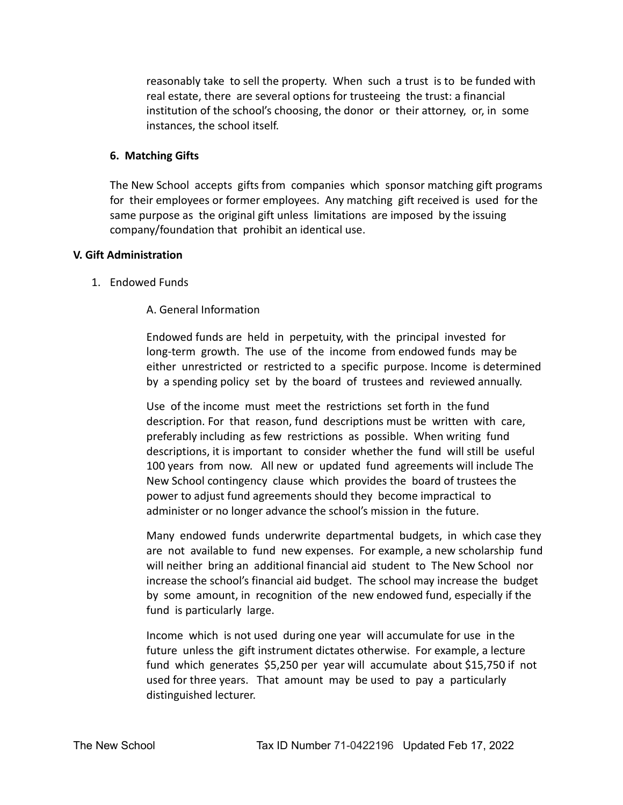reasonably take to sell the property. When such a trust is to be funded with real estate, there are several options for trusteeing the trust: a financial institution of the school's choosing, the donor or their attorney, or, in some instances, the school itself.

#### **6. Matching Gifts**

The New School accepts gifts from companies which sponsor matching gift programs for their employees or former employees. Any matching gift received is used for the same purpose as the original gift unless limitations are imposed by the issuing company/foundation that prohibit an identical use.

#### **V. Gift Administration**

1. Endowed Funds

#### A. General Information

Endowed funds are held in perpetuity, with the principal invested for long-term growth. The use of the income from endowed funds may be either unrestricted or restricted to a specific purpose. Income is determined by a spending policy set by the board of trustees and reviewed annually.

Use of the income must meet the restrictions set forth in the fund description. For that reason, fund descriptions must be written with care, preferably including as few restrictions as possible. When writing fund descriptions, it is important to consider whether the fund will still be useful 100 years from now. All new or updated fund agreements will include The New School contingency clause which provides the board of trustees the power to adjust fund agreements should they become impractical to administer or no longer advance the school's mission in the future.

Many endowed funds underwrite departmental budgets, in which case they are not available to fund new expenses. For example, a new scholarship fund will neither bring an additional financial aid student to The New School nor increase the school's financial aid budget. The school may increase the budget by some amount, in recognition of the new endowed fund, especially if the fund is particularly large.

Income which is not used during one year will accumulate for use in the future unless the gift instrument dictates otherwise. For example, a lecture fund which generates \$5,250 per year will accumulate about \$15,750 if not used for three years. That amount may be used to pay a particularly distinguished lecturer.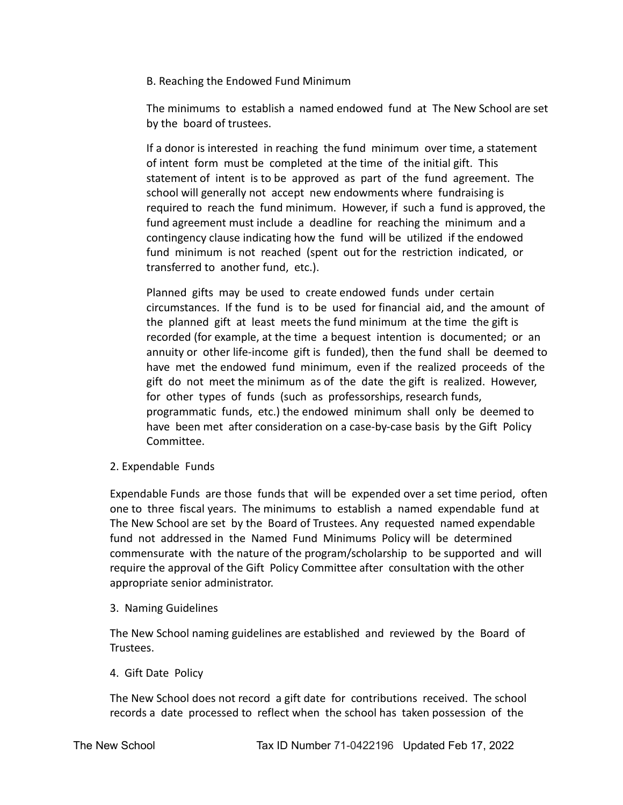B. Reaching the Endowed Fund Minimum

The minimums to establish a named endowed fund at The New School are set by the board of trustees.

If a donor is interested in reaching the fund minimum over time, a statement of intent form must be completed at the time of the initial gift. This statement of intent is to be approved as part of the fund agreement. The school will generally not accept new endowments where fundraising is required to reach the fund minimum. However, if such a fund is approved, the fund agreement must include a deadline for reaching the minimum and a contingency clause indicating how the fund will be utilized if the endowed fund minimum is not reached (spent out for the restriction indicated, or transferred to another fund, etc.).

Planned gifts may be used to create endowed funds under certain circumstances. If the fund is to be used for financial aid, and the amount of the planned gift at least meets the fund minimum at the time the gift is recorded (for example, at the time a bequest intention is documented; or an annuity or other life-income gift is funded), then the fund shall be deemed to have met the endowed fund minimum, even if the realized proceeds of the gift do not meet the minimum as of the date the gift is realized. However, for other types of funds (such as professorships, research funds, programmatic funds, etc.) the endowed minimum shall only be deemed to have been met after consideration on a case-by-case basis by the Gift Policy Committee.

2. Expendable Funds

Expendable Funds are those funds that will be expended over a set time period, often one to three fiscal years. The minimums to establish a named expendable fund at The New School are set by the Board of Trustees. Any requested named expendable fund not addressed in the Named Fund Minimums Policy will be determined commensurate with the nature of the program/scholarship to be supported and will require the approval of the Gift Policy Committee after consultation with the other appropriate senior administrator.

3. Naming Guidelines

The New School naming guidelines are established and reviewed by the Board of Trustees.

4. Gift Date Policy

The New School does not record a gift date for contributions received. The school records a date processed to reflect when the school has taken possession of the